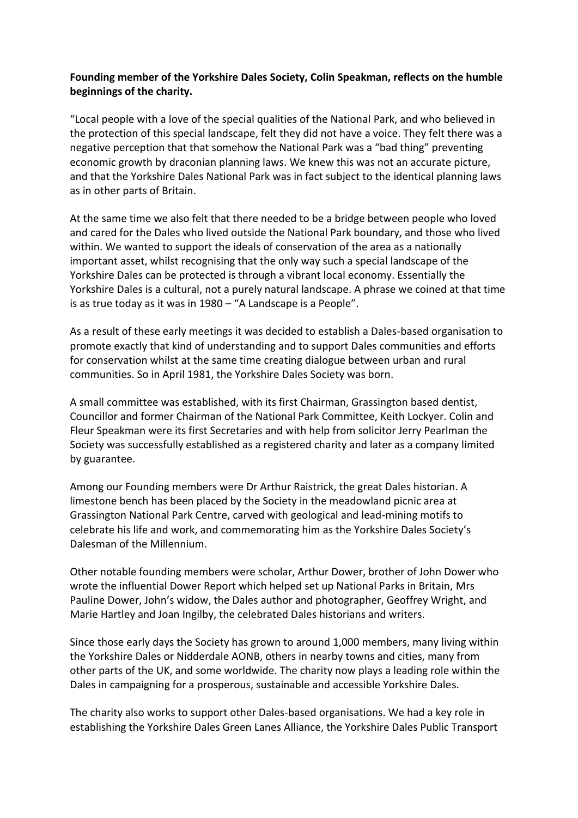## **Founding member of the Yorkshire Dales Society, Colin Speakman, reflects on the humble beginnings of the charity.**

"Local people with a love of the special qualities of the National Park, and who believed in the protection of this special landscape, felt they did not have a voice. They felt there was a negative perception that that somehow the National Park was a "bad thing" preventing economic growth by draconian planning laws. We knew this was not an accurate picture, and that the Yorkshire Dales National Park was in fact subject to the identical planning laws as in other parts of Britain.

At the same time we also felt that there needed to be a bridge between people who loved and cared for the Dales who lived outside the National Park boundary, and those who lived within. We wanted to support the ideals of conservation of the area as a nationally important asset, whilst recognising that the only way such a special landscape of the Yorkshire Dales can be protected is through a vibrant local economy. Essentially the Yorkshire Dales is a cultural, not a purely natural landscape. A phrase we coined at that time is as true today as it was in 1980 – "A Landscape is a People".

As a result of these early meetings it was decided to establish a Dales-based organisation to promote exactly that kind of understanding and to support Dales communities and efforts for conservation whilst at the same time creating dialogue between urban and rural communities. So in April 1981, the Yorkshire Dales Society was born.

A small committee was established, with its first Chairman, Grassington based dentist, Councillor and former Chairman of the National Park Committee, Keith Lockyer. Colin and Fleur Speakman were its first Secretaries and with help from solicitor Jerry Pearlman the Society was successfully established as a registered charity and later as a company limited by guarantee.

Among our Founding members were Dr Arthur Raistrick, the great Dales historian. A limestone bench has been placed by the Society in the meadowland picnic area at Grassington National Park Centre, carved with geological and lead-mining motifs to celebrate his life and work, and commemorating him as the Yorkshire Dales Society's Dalesman of the Millennium.

Other notable founding members were scholar, Arthur Dower, brother of John Dower who wrote the influential Dower Report which helped set up National Parks in Britain, Mrs Pauline Dower, John's widow, the Dales author and photographer, Geoffrey Wright, and Marie Hartley and Joan Ingilby, the celebrated Dales historians and writers.

Since those early days the Society has grown to around 1,000 members, many living within the Yorkshire Dales or Nidderdale AONB, others in nearby towns and cities, many from other parts of the UK, and some worldwide. The charity now plays a leading role within the Dales in campaigning for a prosperous, sustainable and accessible Yorkshire Dales.

The charity also works to support other Dales-based organisations. We had a key role in establishing the Yorkshire Dales Green Lanes Alliance, the Yorkshire Dales Public Transport